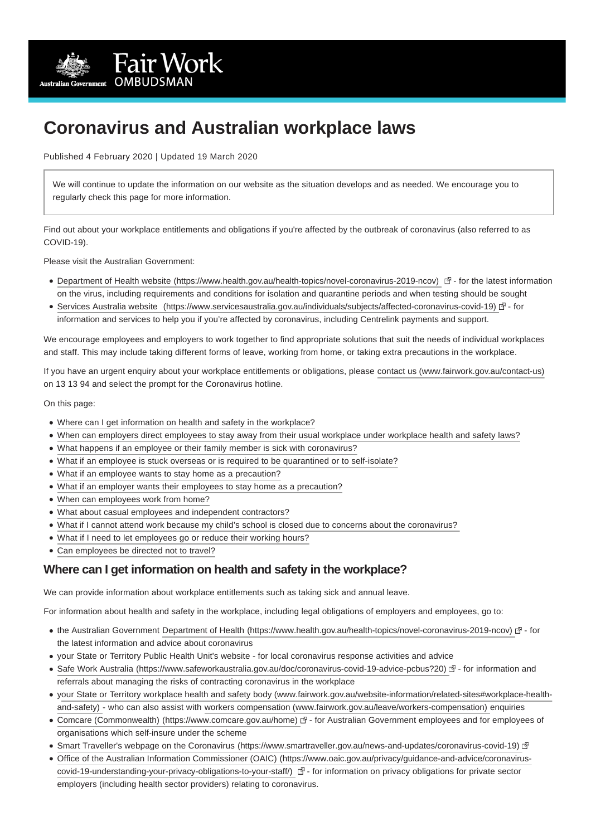

# **Coronavirus and Australian workplace laws**

Published 4 February 2020 | Updated 19 March 2020

We will continue to update the information on our website as the situation develops and as needed. We encourage you to regularly check this page for more information.

Find out about your workplace entitlements and obligations if you're affected by the outbreak of coronavirus (also referred to as COVID-19).

Please visit the Australian Government:

- [Department of Health website \(https://www.health.gov.au/health-topics/novel-coronavirus-2019-ncov\)](https://www.health.gov.au/health-topics/novel-coronavirus-2019-ncov) 団- for the latest information on the virus, including requirements and conditions for isolation and quarantine periods and when testing should be sought
- [Services Australia website \(https://www.servicesaustralia.gov.au/individuals/subjects/affected-coronavirus-covid-19\)](https://www.servicesaustralia.gov.au/individuals/subjects/affected-coronavirus-covid-19) & for information and services to help you if you're affected by coronavirus, including Centrelink payments and support.

We encourage employees and employers to work together to find appropriate solutions that suit the needs of individual workplaces and staff. This may include taking different forms of leave, working from home, or taking extra precautions in the workplace.

If you have an urgent enquiry about your workplace entitlements or obligations, please [contact us \(www.fairwork.gov.au/contact-us\)](https://www.fairwork.gov.au/contact-us) on 13 13 94 and select the prompt for the Coronavirus hotline.

On this page:

- [Where can I get information on health and safety in the workplace?](https://www.fairwork.gov.au/about-us/news-and-media-releases/website-news/coronavirus-and-australian-workplace-laws?PrintToPDF=True&dummy=20203205349#health-and-safety-information)
- [When can employers direct employees to stay away from their usual workplace under workplace health and safety laws?](https://www.fairwork.gov.au/about-us/news-and-media-releases/website-news/coronavirus-and-australian-workplace-laws?PrintToPDF=True&dummy=20203205349#when-can-employers-direct-employees-to-stay-away)
- [What happens if an employee or their family member is sick with coronavirus?](https://www.fairwork.gov.au/about-us/news-and-media-releases/website-news/coronavirus-and-australian-workplace-laws?PrintToPDF=True&dummy=20203205349#family-member-sick)
- [What if an employee is stuck overseas or is required to be quarantined or to self-isolate?](https://www.fairwork.gov.au/about-us/news-and-media-releases/website-news/coronavirus-and-australian-workplace-laws?PrintToPDF=True&dummy=20203205349#stuck-overseas-quarantined)
- [What if an employee wants to stay home as a precaution?](https://www.fairwork.gov.au/about-us/news-and-media-releases/website-news/coronavirus-and-australian-workplace-laws?PrintToPDF=True&dummy=20203205349#stay-home-precaution)
- [What if an employer wants their employees to stay home as a precaution?](https://www.fairwork.gov.au/about-us/news-and-media-releases/website-news/coronavirus-and-australian-workplace-laws?PrintToPDF=True&dummy=20203205349#employer-wants-employees-to-stay-home)
- [When can employees work from home?](https://www.fairwork.gov.au/about-us/news-and-media-releases/website-news/coronavirus-and-australian-workplace-laws?PrintToPDF=True&dummy=20203205349#work-from-home)
- [What about casual employees and independent contractors?](https://www.fairwork.gov.au/about-us/news-and-media-releases/website-news/coronavirus-and-australian-workplace-laws?PrintToPDF=True&dummy=20203205349#casual-employees-contractors)
- [What if I cannot attend work because my child's school is closed due to concerns about the coronavirus?](https://www.fairwork.gov.au/about-us/news-and-media-releases/website-news/coronavirus-and-australian-workplace-laws?PrintToPDF=True&dummy=20203205349#school-closures)
- [What if I need to let employees go or reduce their working hours?](https://www.fairwork.gov.au/about-us/news-and-media-releases/website-news/coronavirus-and-australian-workplace-laws?PrintToPDF=True&dummy=20203205349#let-employees-go-reduce-hours)
- [Can employees be directed not to travel?](https://www.fairwork.gov.au/about-us/news-and-media-releases/website-news/coronavirus-and-australian-workplace-laws?PrintToPDF=True&dummy=20203205349#employees-directed-not-travel)

# **Where can I get information on health and safety in the workplace?**

We can provide information about workplace entitlements such as taking sick and annual leave.

For information about health and safety in the workplace, including legal obligations of employers and employees, go to:

- the Australian Government [Department of Health \(https://www.health.gov.au/health-topics/novel-coronavirus-2019-ncov\)](https://www.health.gov.au/health-topics/novel-coronavirus-2019-ncov) & for the latest information and advice about coronavirus
- your State or Territory Public Health Unit's website for local coronavirus response activities and advice
- [Safe Work Australia \(https://www.safeworkaustralia.gov.au/doc/coronavirus-covid-19-advice-pcbus?20\)](https://www.safeworkaustralia.gov.au/doc/coronavirus-covid-19-advice-pcbus?20) 団 for information and referrals about managing the risks of contracting coronavirus in the workplace
- [your State or Territory workplace health and safety body \(www.fairwork.gov.au/website-information/related-sites#workplace-health](https://www.fairwork.gov.au/website-information/related-sites#workplace-health-and-safety)and-safety) - who can also assist with [workers compensation \(www.fairwork.gov.au/leave/workers-compensation\) e](https://www.fairwork.gov.au/leave/workers-compensation)nquiries
- [Comcare \(Commonwealth\) \(https://www.comcare.gov.au/home\)](https://www.comcare.gov.au/home) 団 for Australian Government employees and for employees of organisations which self-insure under the scheme
- [Smart Traveller's webpage on the Coronavirus \(https://www.smartraveller.gov.au/news-and-updates/coronavirus-covid-19\)](https://www.smartraveller.gov.au/news-and-updates/coronavirus-covid-19) a<sup>n</sup>
- [Office of the Australian Information Commissioner \(OAIC\) \(https://www.oaic.gov.au/privacy/guidance-and-advice/coronavirus](https://www.oaic.gov.au/privacy/guidance-and-advice/coronavirus-covid-19-understanding-your-privacy-obligations-to-your-staff/)covid-19-understanding-your-privacy-obligations-to-your-staff/) 子 - for information on privacy obligations for private sector employers (including health sector providers) relating to coronavirus.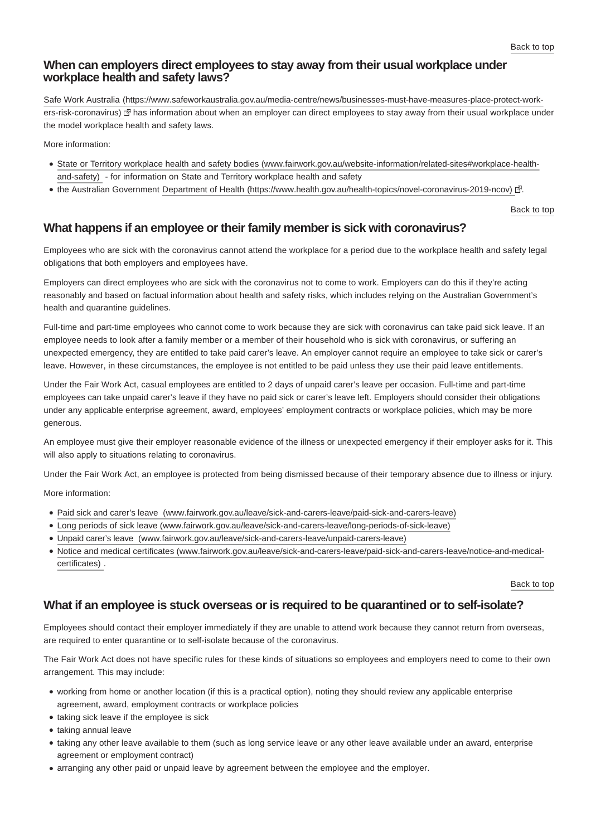# **When can employers direct employees to stay away from their usual workplace under workplace health and safety laws?**

Safe Work Australia (https://www.safeworkaustralia.gov.au/media-centre/news/businesses-must-have-measures-place-protect-workers-risk-coronavirus) & has information about when an employer can direct employees to stay away from their usual workplace under the model workplace health and safety laws.

More information:

- [State or Territory workplace health and safety bodies \(www.fairwork.gov.au/website-information/related-sites#workplace-health](https://www.fairwork.gov.au/website-information/related-sites#workplace-health-and-safety)and-safety) - for information on State and Territory workplace health and safety
- the Australian Government [Department of Health \(https://www.health.gov.au/health-topics/novel-coronavirus-2019-ncov\)](https://www.health.gov.au/health-topics/novel-coronavirus-2019-ncov) ?

[Back to top](https://www.fairwork.gov.au/about-us/news-and-media-releases/website-news/coronavirus-and-australian-workplace-laws?PrintToPDF=True&dummy=20203205349#)

## **What happens if an employee or their family member is sick with coronavirus?**

Employees who are sick with the coronavirus cannot attend the workplace for a period due to the workplace health and safety legal obligations that both employers and employees have.

Employers can direct employees who are sick with the coronavirus not to come to work. Employers can do this if they're acting reasonably and based on factual information about health and safety risks, which includes relying on the Australian Government's health and quarantine guidelines.

Full-time and part-time employees who cannot come to work because they are sick with coronavirus can take paid sick leave. If an employee needs to look after a family member or a member of their household who is sick with coronavirus, or suffering an unexpected emergency, they are entitled to take paid carer's leave. An employer cannot require an employee to take sick or carer's leave. However, in these circumstances, the employee is not entitled to be paid unless they use their paid leave entitlements.

Under the Fair Work Act, casual employees are entitled to 2 days of unpaid carer's leave per occasion. Full-time and part-time employees can take unpaid carer's leave if they have no paid sick or carer's leave left. Employers should consider their obligations under any applicable enterprise agreement, award, employees' employment contracts or workplace policies, which may be more generous.

An employee must give their employer reasonable evidence of the illness or unexpected emergency if their employer asks for it. This will also apply to situations relating to coronavirus.

Under the Fair Work Act, an employee is protected from being dismissed because of their temporary absence due to illness or injury.

More information:

- [Paid sick and carer's leave \(www.fairwork.gov.au/leave/sick-and-carers-leave/paid-sick-and-carers-leave\)](https://www.fairwork.gov.au/leave/sick-and-carers-leave/paid-sick-and-carers-leave)
- [Long periods of sick leave \(www.fairwork.gov.au/leave/sick-and-carers-leave/long-periods-of-sick-leave\)](https://www.fairwork.gov.au/leave/sick-and-carers-leave/long-periods-of-sick-leave)
- [Unpaid carer's leave \(www.fairwork.gov.au/leave/sick-and-carers-leave/unpaid-carers-leave\)](https://www.fairwork.gov.au/leave/sick-and-carers-leave/unpaid-carers-leave)
- [Notice and medical certificates \(www.fairwork.gov.au/leave/sick-and-carers-leave/paid-sick-and-carers-leave/notice-and-medical](https://www.fairwork.gov.au/leave/sick-and-carers-leave/paid-sick-and-carers-leave/notice-and-medical-certificates)certificates) .

[Back to top](https://www.fairwork.gov.au/about-us/news-and-media-releases/website-news/coronavirus-and-australian-workplace-laws?PrintToPDF=True&dummy=20203205349#)

## **What if an employee is stuck overseas or is required to be quarantined or to self-isolate?**

Employees should contact their employer immediately if they are unable to attend work because they cannot return from overseas, are required to enter quarantine or to self-isolate because of the coronavirus.

The Fair Work Act does not have specific rules for these kinds of situations so employees and employers need to come to their own arrangement. This may include:

- working from home or another location (if this is a practical option), noting they should review any applicable enterprise agreement, award, employment contracts or workplace policies
- taking sick leave if the employee is sick
- taking annual leave
- taking any other leave available to them (such as long service leave or any other leave available under an award, enterprise agreement or employment contract)
- arranging any other paid or unpaid leave by agreement between the employee and the employer.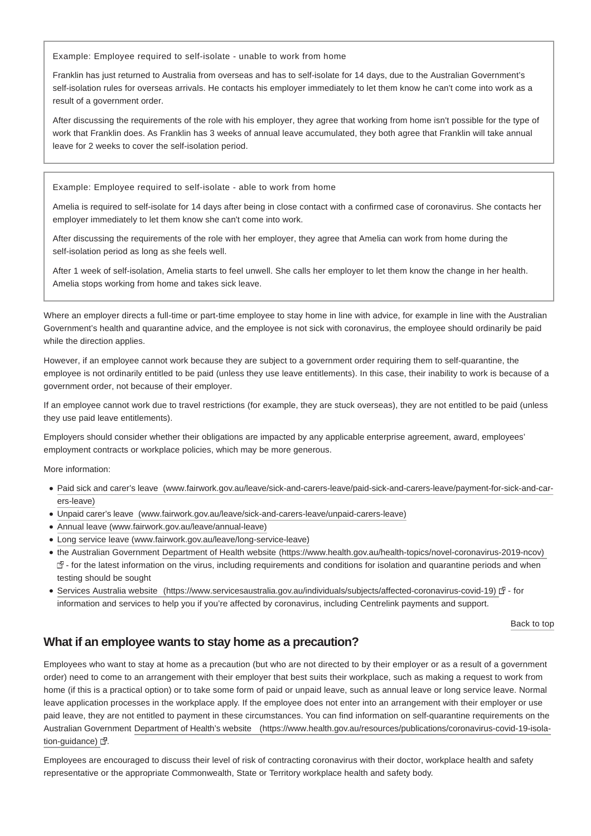Example: Employee required to self-isolate - unable to work from home

Franklin has just returned to Australia from overseas and has to self-isolate for 14 days, due to the Australian Government's self-isolation rules for overseas arrivals. He contacts his employer immediately to let them know he can't come into work as a result of a government order.

After discussing the requirements of the role with his employer, they agree that working from home isn't possible for the type of work that Franklin does. As Franklin has 3 weeks of annual leave accumulated, they both agree that Franklin will take annual leave for 2 weeks to cover the self-isolation period.

Example: Employee required to self-isolate - able to work from home

Amelia is required to self-isolate for 14 days after being in close contact with a confirmed case of coronavirus. She contacts her employer immediately to let them know she can't come into work.

After discussing the requirements of the role with her employer, they agree that Amelia can work from home during the self-isolation period as long as she feels well.

After 1 week of self-isolation, Amelia starts to feel unwell. She calls her employer to let them know the change in her health. Amelia stops working from home and takes sick leave.

Where an employer directs a full-time or part-time employee to stay home in line with advice, for example in line with the Australian Government's health and quarantine advice, and the employee is not sick with coronavirus, the employee should ordinarily be paid while the direction applies.

However, if an employee cannot work because they are subject to a government order requiring them to self-quarantine, the employee is not ordinarily entitled to be paid (unless they use leave entitlements). In this case, their inability to work is because of a government order, not because of their employer.

If an employee cannot work due to travel restrictions (for example, they are stuck overseas), they are not entitled to be paid (unless they use paid leave entitlements).

Employers should consider whether their obligations are impacted by any applicable enterprise agreement, award, employees' employment contracts or workplace policies, which may be more generous.

More information:

- [Paid sick and carer's leave \(www.fairwork.gov.au/leave/sick-and-carers-leave/paid-sick-and-carers-leave/payment-for-sick-and-car](https://www.fairwork.gov.au/leave/sick-and-carers-leave/paid-sick-and-carers-leave/payment-for-sick-and-carers-leave)ers-leave)
- [Unpaid carer's leave \(www.fairwork.gov.au/leave/sick-and-carers-leave/unpaid-carers-leave\)](https://www.fairwork.gov.au/leave/sick-and-carers-leave/unpaid-carers-leave)
- [Annual leave \(www.fairwork.gov.au/leave/annual-leave\)](https://www.fairwork.gov.au/leave/annual-leave)
- [Long service leave \(www.fairwork.gov.au/leave/long-service-leave\)](https://www.fairwork.gov.au/leave/long-service-leave)
- the Australian Government [Department of Health website \(https://www.health.gov.au/health-topics/novel-coronavirus-2019-ncov\)](https://www.health.gov.au/health-topics/novel-coronavirus-2019-ncov)   $\mathbb{F}$  - for the latest information on the virus, including requirements and conditions for isolation and quarantine periods and when testing should be sought
- [Services Australia website \(https://www.servicesaustralia.gov.au/individuals/subjects/affected-coronavirus-covid-19\)](https://www.servicesaustralia.gov.au/individuals/subjects/affected-coronavirus-covid-19) & for information and services to help you if you're affected by coronavirus, including Centrelink payments and support.

[Back to top](https://www.fairwork.gov.au/about-us/news-and-media-releases/website-news/coronavirus-and-australian-workplace-laws?PrintToPDF=True&dummy=20203205349#)

# **What if an employee wants to stay home as a precaution?**

Employees who want to stay at home as a precaution (but who are not directed to by their employer or as a result of a government order) need to come to an arrangement with their employer that best suits their workplace, such as making a request to work from home (if this is a practical option) or to take some form of paid or unpaid leave, such as annual leave or long service leave. Normal leave application processes in the workplace apply. If the employee does not enter into an arrangement with their employer or use paid leave, they are not entitled to payment in these circumstances. You can find information on self-quarantine requirements on the Australian G[overnment Department of Health's website \(https://www.health.gov.au/resources/publications/coronavirus-covid-19-isola](https://www.health.gov.au/resources/publications/coronavirus-covid-19-isolation-guidance)tion-guidance)  $\mathbb{F}$ .

Employees are encouraged to discuss their level of risk of contracting coronavirus with their doctor, workplace health and safety representative or the appropriate Commonwealth, State or Territory workplace health and safety body.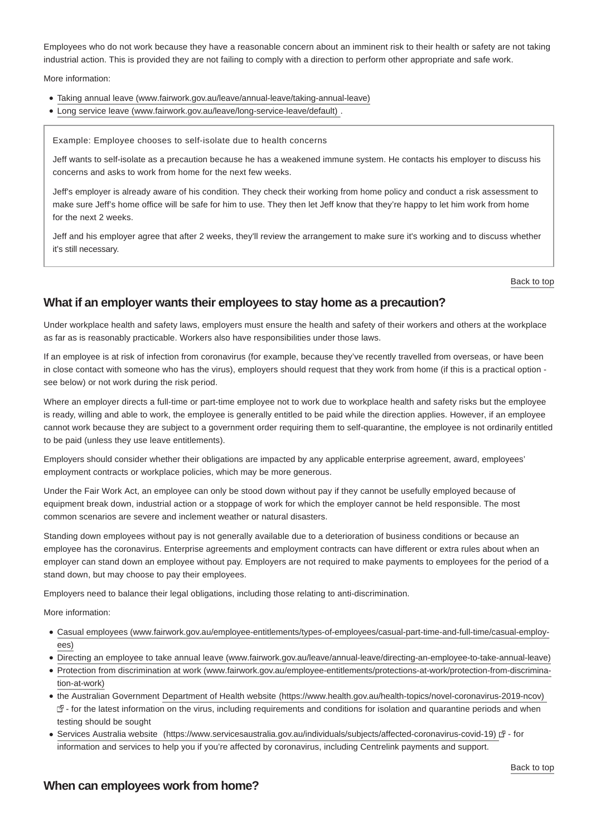Employees who do not work because they have a reasonable concern about an imminent risk to their health or safety are not taking industrial action. This is provided they are not failing to comply with a direction to perform other appropriate and safe work.

More information:

- [Taking annual leave \(www.fairwork.gov.au/leave/annual-leave/taking-annual-leave\)](https://www.fairwork.gov.au/leave/annual-leave/taking-annual-leave)
- [Long service leave \(www.fairwork.gov.au/leave/long-service-leave/default\) .](https://www.fairwork.gov.au/leave/long-service-leave/default)

Example: Employee chooses to self-isolate due to health concerns

Jeff wants to self-isolate as a precaution because he has a weakened immune system. He contacts his employer to discuss his concerns and asks to work from home for the next few weeks.

Jeff's employer is already aware of his condition. They check their working from home policy and conduct a risk assessment to make sure Jeff's home office will be safe for him to use. They then let Jeff know that they're happy to let him work from home for the next 2 weeks.

Jeff and his employer agree that after 2 weeks, they'll review the arrangement to make sure it's working and to discuss whether it's still necessary.

[Back to top](https://www.fairwork.gov.au/about-us/news-and-media-releases/website-news/coronavirus-and-australian-workplace-laws?PrintToPDF=True&dummy=20203205349#)

#### **What if an employer wants their employees to stay home as a precaution?**

Under workplace health and safety laws, employers must ensure the health and safety of their workers and others at the workplace as far as is reasonably practicable. Workers also have responsibilities under those laws.

If an employee is at risk of infection from coronavirus (for example, because they've recently travelled from overseas, or have been in close contact with someone who has the virus), employers should request that they work from home (if this is a practical option see below) or not work during the risk period.

Where an employer directs a full-time or part-time employee not to work due to workplace health and safety risks but the employee is ready, willing and able to work, the employee is generally entitled to be paid while the direction applies. However, if an employee cannot work because they are subject to a government order requiring them to self-quarantine, the employee is not ordinarily entitled to be paid (unless they use leave entitlements).

Employers should consider whether their obligations are impacted by any applicable enterprise agreement, award, employees' employment contracts or workplace policies, which may be more generous.

Under the Fair Work Act, an employee can only be stood down without pay if they cannot be usefully employed because of equipment break down, industrial action or a stoppage of work for which the employer cannot be held responsible. The most common scenarios are severe and inclement weather or natural disasters.

Standing down employees without pay is not generally available due to a deterioration of business conditions or because an employee has the coronavirus. Enterprise agreements and employment contracts can have different or extra rules about when an employer can stand down an employee without pay. Employers are not required to make payments to employees for the period of a stand down, but may choose to pay their employees.

Employers need to balance their legal obligations, including those relating to anti-discrimination.

More information:

- [Casual employees \(www.fairwork.gov.au/employee-entitlements/types-of-employees/casual-part-time-and-full-time/casual-employ](https://www.fairwork.gov.au/employee-entitlements/types-of-employees/casual-part-time-and-full-time/casual-employees)ees)
- [Directing an employee to take annual leave \(www.fairwork.gov.au/leave/annual-leave/directing-an-employee-to-take-annual-leave\)](https://www.fairwork.gov.au/leave/annual-leave/directing-an-employee-to-take-annual-leave)
- [Protection from discrimination at work \(www.fairwork.gov.au/employee-entitlements/protections-at-work/protection-from-discrimina](https://www.fairwork.gov.au/employee-entitlements/protections-at-work/protection-from-discrimination-at-work)tion-at-work)
- the Australian Government [Department of Health website \(https://www.health.gov.au/health-topics/novel-coronavirus-2019-ncov\)](https://www.health.gov.au/health-topics/novel-coronavirus-2019-ncov)   $\mathbb{F}$  - for the latest information on the virus, including requirements and conditions for isolation and quarantine periods and when testing should be sought
- [Services Australia website \(https://www.servicesaustralia.gov.au/individuals/subjects/affected-coronavirus-covid-19\)](https://www.servicesaustralia.gov.au/individuals/subjects/affected-coronavirus-covid-19) & for information and services to help you if you're affected by coronavirus, including Centrelink payments and support.

#### **When can employees work from home?**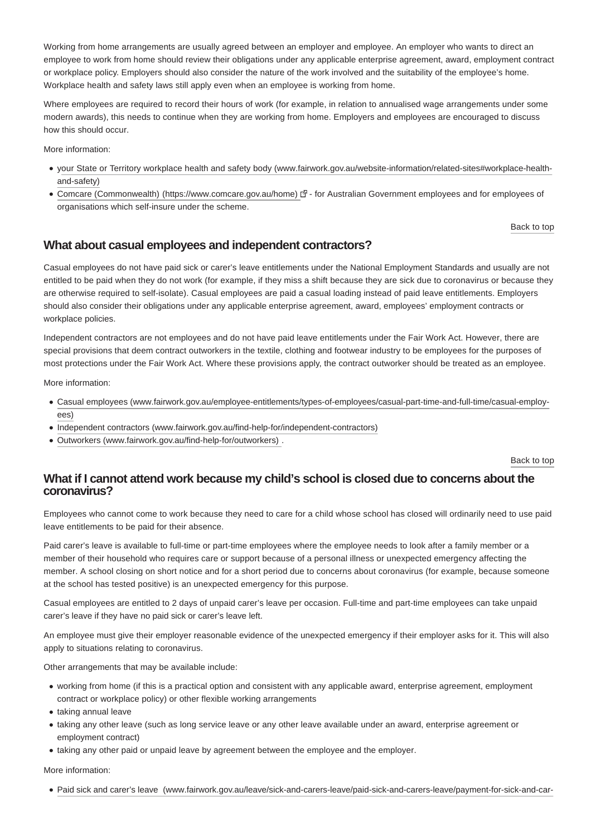Working from home arrangements are usually agreed between an employer and employee. An employer who wants to direct an employee to work from home should review their obligations under any applicable enterprise agreement, award, employment contract or workplace policy. Employers should also consider the nature of the work involved and the suitability of the employee's home. Workplace health and safety laws still apply even when an employee is working from home.

Where employees are required to record their hours of work (for example, in relation to annualised wage arrangements under some modern awards), this needs to continue when they are working from home. Employers and employees are encouraged to discuss how this should occur.

More information:

- [your State or Territory workplace health and safety body \(www.fairwork.gov.au/website-information/related-sites#workplace-health](https://www.fairwork.gov.au/website-information/related-sites#workplace-health-and-safety)and-safety)
- [Comcare \(Commonwealth\) \(https://www.comcare.gov.au/home\)](https://www.comcare.gov.au/home) IP for Australian Government employees and for employees of organisations which self-insure under the scheme.

[Back to top](https://www.fairwork.gov.au/about-us/news-and-media-releases/website-news/coronavirus-and-australian-workplace-laws?PrintToPDF=True&dummy=20203205349#)

## **What about casual employees and independent contractors?**

Casual employees do not have paid sick or carer's leave entitlements under the National Employment Standards and usually are not entitled to be paid when they do not work (for example, if they miss a shift because they are sick due to coronavirus or because they are otherwise required to self-isolate). Casual employees are paid a casual loading instead of paid leave entitlements. Employers should also consider their obligations under any applicable enterprise agreement, award, employees' employment contracts or workplace policies.

Independent contractors are not employees and do not have paid leave entitlements under the Fair Work Act. However, there are special provisions that deem contract outworkers in the textile, clothing and footwear industry to be employees for the purposes of most protections under the Fair Work Act. Where these provisions apply, the contract outworker should be treated as an employee.

More information:

- [Casual employees \(www.fairwork.gov.au/employee-entitlements/types-of-employees/casual-part-time-and-full-time/casual-employ](https://www.fairwork.gov.au/employee-entitlements/types-of-employees/casual-part-time-and-full-time/casual-employees)ees)
- [Independent contractors \(www.fairwork.gov.au/find-help-for/independent-contractors\)](https://www.fairwork.gov.au/find-help-for/independent-contractors)
- [Outworkers \(www.fairwork.gov.au/find-help-for/outworkers\) .](https://www.fairwork.gov.au/find-help-for/outworkers)

[Back to top](https://www.fairwork.gov.au/about-us/news-and-media-releases/website-news/coronavirus-and-australian-workplace-laws?PrintToPDF=True&dummy=20203205349#)

## **What if I cannot attend work because my child's school is closed due to concerns about the coronavirus?**

Employees who cannot come to work because they need to care for a child whose school has closed will ordinarily need to use paid leave entitlements to be paid for their absence.

Paid carer's leave is available to full-time or part-time employees where the employee needs to look after a family member or a member of their household who requires care or support because of a personal illness or unexpected emergency affecting the member. A school closing on short notice and for a short period due to concerns about coronavirus (for example, because someone at the school has tested positive) is an unexpected emergency for this purpose.

Casual employees are entitled to 2 days of unpaid carer's leave per occasion. Full-time and part-time employees can take unpaid carer's leave if they have no paid sick or carer's leave left.

An employee must give their employer reasonable evidence of the unexpected emergency if their employer asks for it. This will also apply to situations relating to coronavirus.

Other arrangements that may be available include:

- working from home (if this is a practical option and consistent with any applicable award, enterprise agreement, employment contract or workplace policy) or other flexible working arrangements
- taking annual leave
- taking any other leave (such as long service leave or any other leave available under an award, enterprise agreement or employment contract)
- taking any other paid or unpaid leave by agreement between the employee and the employer.

More information:

[Paid sick and carer's leave \(www.fairwork.gov.au/leave/sick-and-carers-leave/paid-sick-and-carers-leave/payment-for-sick-and-car-](https://www.fairwork.gov.au/leave/sick-and-carers-leave/paid-sick-and-carers-leave/payment-for-sick-and-carers-leave)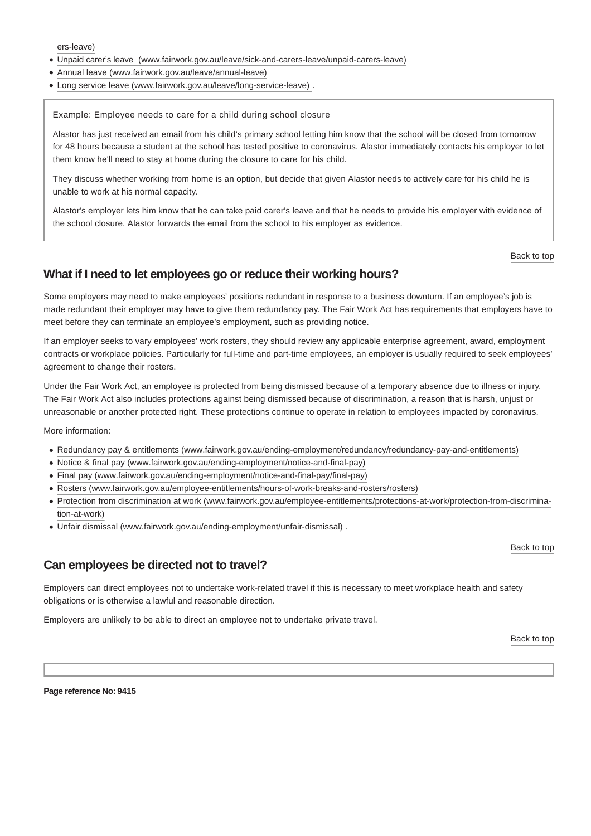[ers-leave\)](https://www.fairwork.gov.au/leave/sick-and-carers-leave/paid-sick-and-carers-leave/payment-for-sick-and-carers-leave)

- [Unpaid carer's leave \(www.fairwork.gov.au/leave/sick-and-carers-leave/unpaid-carers-leave\)](https://www.fairwork.gov.au/leave/sick-and-carers-leave/unpaid-carers-leave)
- [Annual leave \(www.fairwork.gov.au/leave/annual-leave\)](https://www.fairwork.gov.au/leave/annual-leave)
- [Long service leave \(www.fairwork.gov.au/leave/long-service-leave\) .](https://www.fairwork.gov.au/leave/long-service-leave)

Example: Employee needs to care for a child during school closure

Alastor has just received an email from his child's primary school letting him know that the school will be closed from tomorrow for 48 hours because a student at the school has tested positive to coronavirus. Alastor immediately contacts his employer to let them know he'll need to stay at home during the closure to care for his child.

They discuss whether working from home is an option, but decide that given Alastor needs to actively care for his child he is unable to work at his normal capacity.

Alastor's employer lets him know that he can take paid carer's leave and that he needs to provide his employer with evidence of the school closure. Alastor forwards the email from the school to his employer as evidence.

[Back to top](https://www.fairwork.gov.au/about-us/news-and-media-releases/website-news/coronavirus-and-australian-workplace-laws?PrintToPDF=True&dummy=20203205349#)

## **What if I need to let employees go or reduce their working hours?**

Some employers may need to make employees' positions redundant in response to a business downturn. If an employee's job is made redundant their employer may have to give them redundancy pay. The Fair Work Act has requirements that employers have to meet before they can terminate an employee's employment, such as providing notice.

If an employer seeks to vary employees' work rosters, they should review any applicable enterprise agreement, award, employment contracts or workplace policies. Particularly for full-time and part-time employees, an employer is usually required to seek employees' agreement to change their rosters.

Under the Fair Work Act, an employee is protected from being dismissed because of a temporary absence due to illness or injury. The Fair Work Act also includes protections against being dismissed because of discrimination, a reason that is harsh, unjust or unreasonable or another protected right. These protections continue to operate in relation to employees impacted by coronavirus.

More information:

- [Redundancy pay & entitlements \(www.fairwork.gov.au/ending-employment/redundancy/redundancy-pay-and-entitlements\)](https://www.fairwork.gov.au/ending-employment/redundancy/redundancy-pay-and-entitlements)
- [Notice & final pay \(www.fairwork.gov.au/ending-employment/notice-and-final-pay\)](https://www.fairwork.gov.au/ending-employment/notice-and-final-pay)
- [Final pay \(www.fairwork.gov.au/ending-employment/notice-and-final-pay/final-pay\)](https://www.fairwork.gov.au/ending-employment/notice-and-final-pay/final-pay)
- [Rosters \(www.fairwork.gov.au/employee-entitlements/hours-of-work-breaks-and-rosters/rosters\)](https://www.fairwork.gov.au/employee-entitlements/hours-of-work-breaks-and-rosters/rosters)
- [Protection from discrimination at work \(www.fairwork.gov.au/employee-entitlements/protections-at-work/protection-from-discrimina](https://www.fairwork.gov.au/employee-entitlements/protections-at-work/protection-from-discrimination-at-work)tion-at-work)
- [Unfair dismissal \(www.fairwork.gov.au/ending-employment/unfair-dismissal\) .](https://www.fairwork.gov.au/ending-employment/unfair-dismissal)

[Back to top](https://www.fairwork.gov.au/about-us/news-and-media-releases/website-news/coronavirus-and-australian-workplace-laws?PrintToPDF=True&dummy=20203205349#)

#### **Can employees be directed not to travel?**

Employers can direct employees not to undertake work-related travel if this is necessary to meet workplace health and safety obligations or is otherwise a lawful and reasonable direction.

Employers are unlikely to be able to direct an employee not to undertake private travel.

[Back to top](https://www.fairwork.gov.au/about-us/news-and-media-releases/website-news/coronavirus-and-australian-workplace-laws?PrintToPDF=True&dummy=20203205349#)

**Page reference No: 9415**